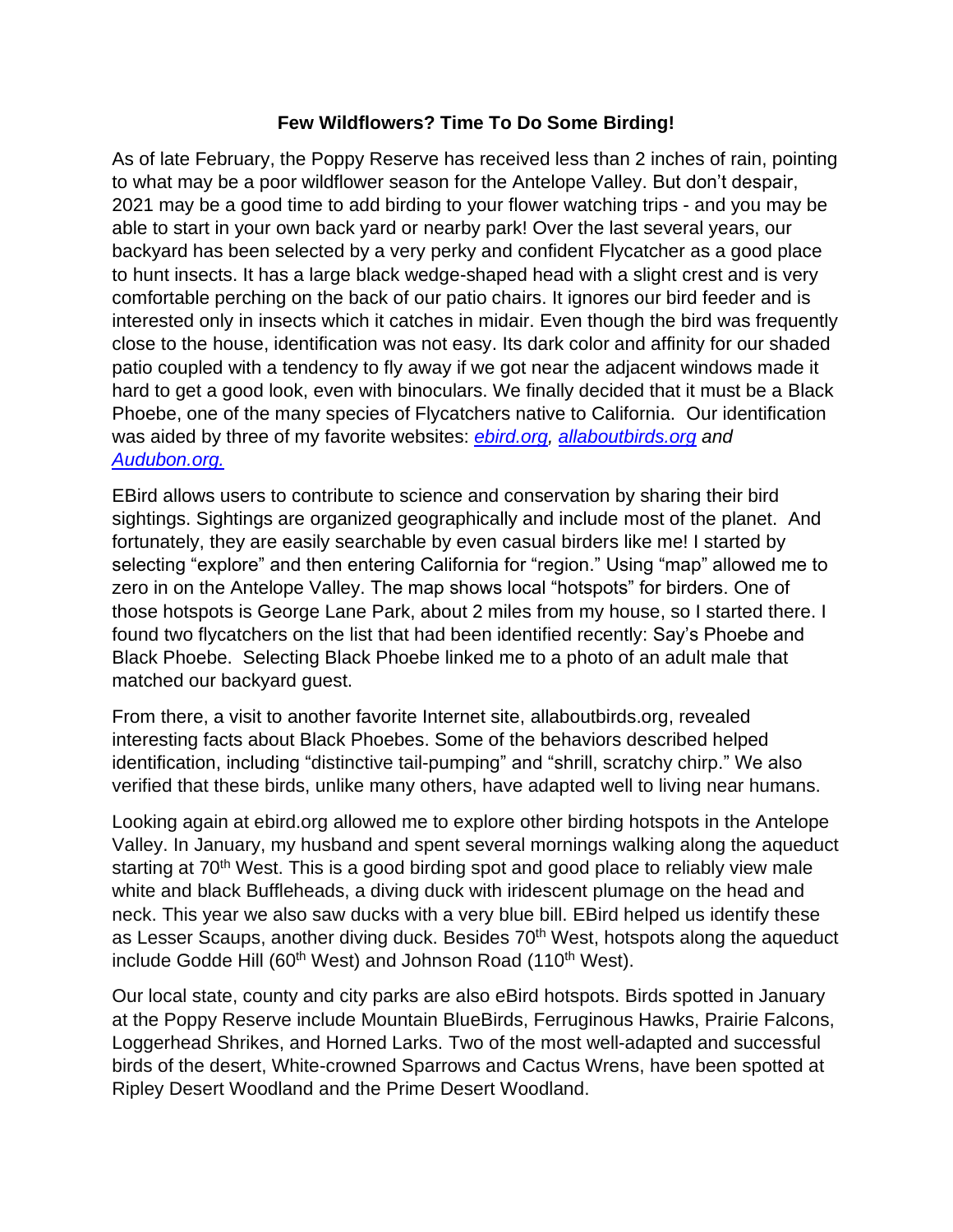## **Few Wildflowers? Time To Do Some Birding!**

As of late February, the Poppy Reserve has received less than 2 inches of rain, pointing to what may be a poor wildflower season for the Antelope Valley. But don't despair, 2021 may be a good time to add birding to your flower watching trips - and you may be able to start in your own back yard or nearby park! Over the last several years, our backyard has been selected by a very perky and confident Flycatcher as a good place to hunt insects. It has a large black wedge-shaped head with a slight crest and is very comfortable perching on the back of our patio chairs. It ignores our bird feeder and is interested only in insects which it catches in midair. Even though the bird was frequently close to the house, identification was not easy. Its dark color and affinity for our shaded patio coupled with a tendency to fly away if we got near the adjacent windows made it hard to get a good look, even with binoculars. We finally decided that it must be a Black Phoebe, one of the many species of Flycatchers native to California. Our identification was aided by three of my favorite websites: *[ebird.org,](https://ebird.org/home) [allaboutbirds.org](https://www.allaboutbirds.org/guide/search) and [Audubon.org.](https://www.allaboutbirds.org/guide/search)* 

EBird allows users to contribute to science and conservation by sharing their bird sightings. Sightings are organized geographically and include most of the planet. And fortunately, they are easily searchable by even casual birders like me! I started by selecting "explore" and then entering California for "region." Using "map" allowed me to zero in on the Antelope Valley. The map shows local "hotspots" for birders. One of those hotspots is George Lane Park, about 2 miles from my house, so I started there. I found two flycatchers on the list that had been identified recently: Say's Phoebe and Black Phoebe. Selecting Black Phoebe linked me to a photo of an adult male that matched our backyard guest.

From there, a visit to another favorite Internet site, allaboutbirds.org, revealed interesting facts about Black Phoebes. Some of the behaviors described helped identification, including "distinctive tail-pumping" and "shrill, scratchy chirp." We also verified that these birds, unlike many others, have adapted well to living near humans.

Looking again at ebird.org allowed me to explore other birding hotspots in the Antelope Valley. In January, my husband and spent several mornings walking along the aqueduct starting at 70<sup>th</sup> West. This is a good birding spot and good place to reliably view male white and black Buffleheads, a diving duck with iridescent plumage on the head and neck. This year we also saw ducks with a very blue bill. EBird helped us identify these as Lesser Scaups, another diving duck. Besides 70<sup>th</sup> West, hotspots along the aqueduct include Godde Hill (60<sup>th</sup> West) and Johnson Road (110<sup>th</sup> West).

Our local state, county and city parks are also eBird hotspots. Birds spotted in January at the Poppy Reserve include Mountain BlueBirds, Ferruginous Hawks, Prairie Falcons, Loggerhead Shrikes, and Horned Larks. Two of the most well-adapted and successful birds of the desert, White-crowned Sparrows and Cactus Wrens, have been spotted at Ripley Desert Woodland and the Prime Desert Woodland.